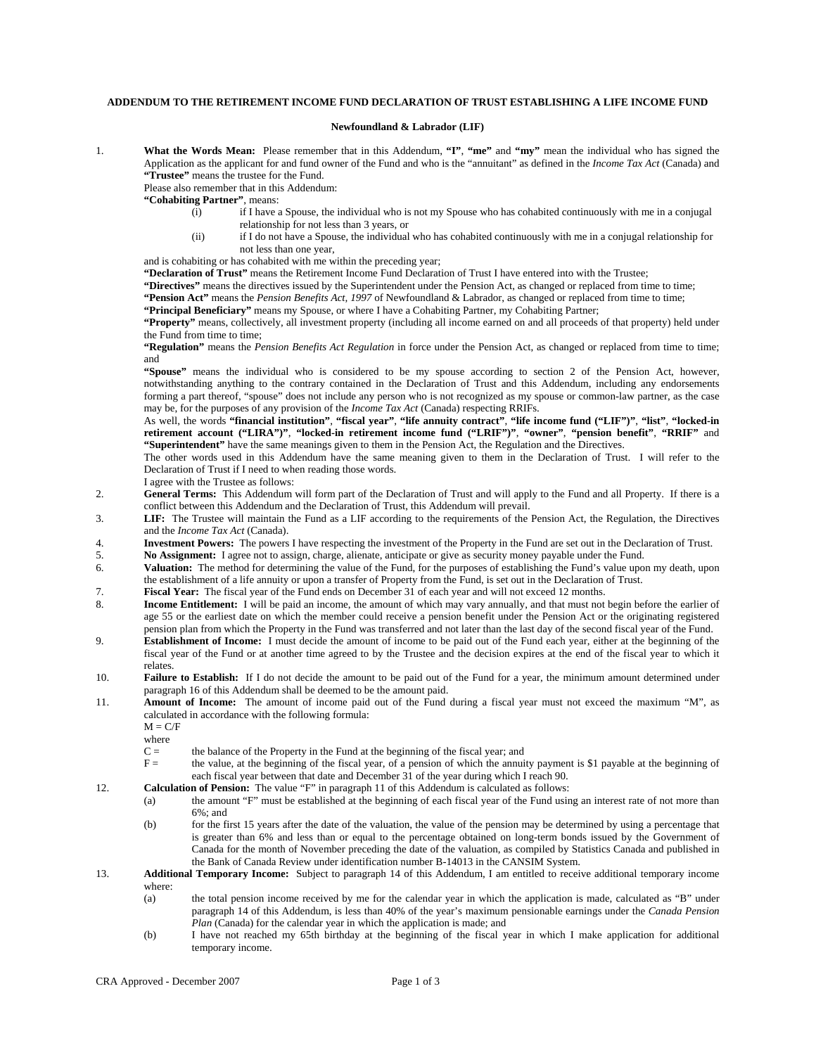## **ADDENDUM TO THE RETIREMENT INCOME FUND DECLARATION OF TRUST ESTABLISHING A LIFE INCOME FUND**

## **Newfoundland & Labrador (LIF)**

1. **What the Words Mean:** Please remember that in this Addendum, **"I"**, **"me"** and **"my"** mean the individual who has signed the Application as the applicant for and fund owner of the Fund and who is the "annuitant" as defined in the *Income Tax Act* (Canada) and **"Trustee"** means the trustee for the Fund.

Please also remember that in this Addendum:

- **"Cohabiting Partner"**, means:
	- $(i)$  if I have a Spouse, the individual who is not my Spouse who has cohabited continuously with me in a conjugal relationship for not less than 3 years, or
	- (ii) if I do not have a Spouse, the individual who has cohabited continuously with me in a conjugal relationship for not less than one year,

and is cohabiting or has cohabited with me within the preceding year;

**"Declaration of Trust"** means the Retirement Income Fund Declaration of Trust I have entered into with the Trustee;

**"Directives"** means the directives issued by the Superintendent under the Pension Act, as changed or replaced from time to time;

**"Pension Act"** means the *Pension Benefits Act, 1997* of Newfoundland & Labrador, as changed or replaced from time to time;

**"Principal Beneficiary"** means my Spouse, or where I have a Cohabiting Partner, my Cohabiting Partner;

**"Property"** means, collectively, all investment property (including all income earned on and all proceeds of that property) held under the Fund from time to time;

**"Regulation"** means the *Pension Benefits Act Regulation* in force under the Pension Act, as changed or replaced from time to time; and

**"Spouse"** means the individual who is considered to be my spouse according to section 2 of the Pension Act, however, notwithstanding anything to the contrary contained in the Declaration of Trust and this Addendum, including any endorsements forming a part thereof, "spouse" does not include any person who is not recognized as my spouse or common-law partner, as the case may be, for the purposes of any provision of the *Income Tax Act* (Canada) respecting RRIFs.

As well, the words **"financial institution"**, **"fiscal year"**, **"life annuity contract"**, **"life income fund ("LIF")"**, **"list"**, **"locked-in retirement account ("LIRA")"**, **"locked-in retirement income fund ("LRIF")"**, **"owner"**, **"pension benefit"**, **"RRIF"** and **"Superintendent"** have the same meanings given to them in the Pension Act, the Regulation and the Directives.

The other words used in this Addendum have the same meaning given to them in the Declaration of Trust. I will refer to the Declaration of Trust if I need to when reading those words.

- I agree with the Trustee as follows:
- 2. **General Terms:** This Addendum will form part of the Declaration of Trust and will apply to the Fund and all Property. If there is a conflict between this Addendum and the Declaration of Trust, this Addendum will prevail.
- 3. **LIF:** The Trustee will maintain the Fund as a LIF according to the requirements of the Pension Act, the Regulation, the Directives and the *Income Tax Act* (Canada).
- 4. **Investment Powers:** The powers I have respecting the investment of the Property in the Fund are set out in the Declaration of Trust.
- 5. **No Assignment:** I agree not to assign, charge, alienate, anticipate or give as security money payable under the Fund.
- 6. **Valuation:** The method for determining the value of the Fund, for the purposes of establishing the Fund's value upon my death, upon the establishment of a life annuity or upon a transfer of Property from the Fund, is set out in the Declaration of Trust.
- 7. **Fiscal Year:** The fiscal year of the Fund ends on December 31 of each year and will not exceed 12 months.
- 8. **Income Entitlement:** I will be paid an income, the amount of which may vary annually, and that must not begin before the earlier of age 55 or the earliest date on which the member could receive a pension benefit under the Pension Act or the originating registered pension plan from which the Property in the Fund was transferred and not later than the last day of the second fiscal year of the Fund.
- 9. **Establishment of Income:** I must decide the amount of income to be paid out of the Fund each year, either at the beginning of the fiscal year of the Fund or at another time agreed to by the Trustee and the decision expires at the end of the fiscal year to which it relates.
- 10. **Failure to Establish:** If I do not decide the amount to be paid out of the Fund for a year, the minimum amount determined under paragraph 16 of this Addendum shall be deemed to be the amount paid.
- 11. **Amount of Income:** The amount of income paid out of the Fund during a fiscal year must not exceed the maximum "M", as calculated in accordance with the following formula:

 $M = C/F$ 

where

- C = the balance of the Property in the Fund at the beginning of the fiscal year; and
- F = the value, at the beginning of the fiscal year, of a pension of which the annuity payment is \$1 payable at the beginning of each fiscal year between that date and December 31 of the year during which I reach 90.
- 12. **Calculation of Pension:** The value "F" in paragraph 11 of this Addendum is calculated as follows:
	- (a) the amount "F" must be established at the beginning of each fiscal year of the Fund using an interest rate of not more than 6%; and
	- (b) for the first 15 years after the date of the valuation, the value of the pension may be determined by using a percentage that is greater than 6% and less than or equal to the percentage obtained on long-term bonds issued by the Government of Canada for the month of November preceding the date of the valuation, as compiled by Statistics Canada and published in the Bank of Canada Review under identification number B-14013 in the CANSIM System.
- 13. **Additional Temporary Income:** Subject to paragraph 14 of this Addendum, I am entitled to receive additional temporary income where:
	- (a) the total pension income received by me for the calendar year in which the application is made, calculated as "B" under paragraph 14 of this Addendum, is less than 40% of the year's maximum pensionable earnings under the *Canada Pension Plan* (Canada) for the calendar year in which the application is made; and
	- (b) I have not reached my 65th birthday at the beginning of the fiscal year in which I make application for additional temporary income.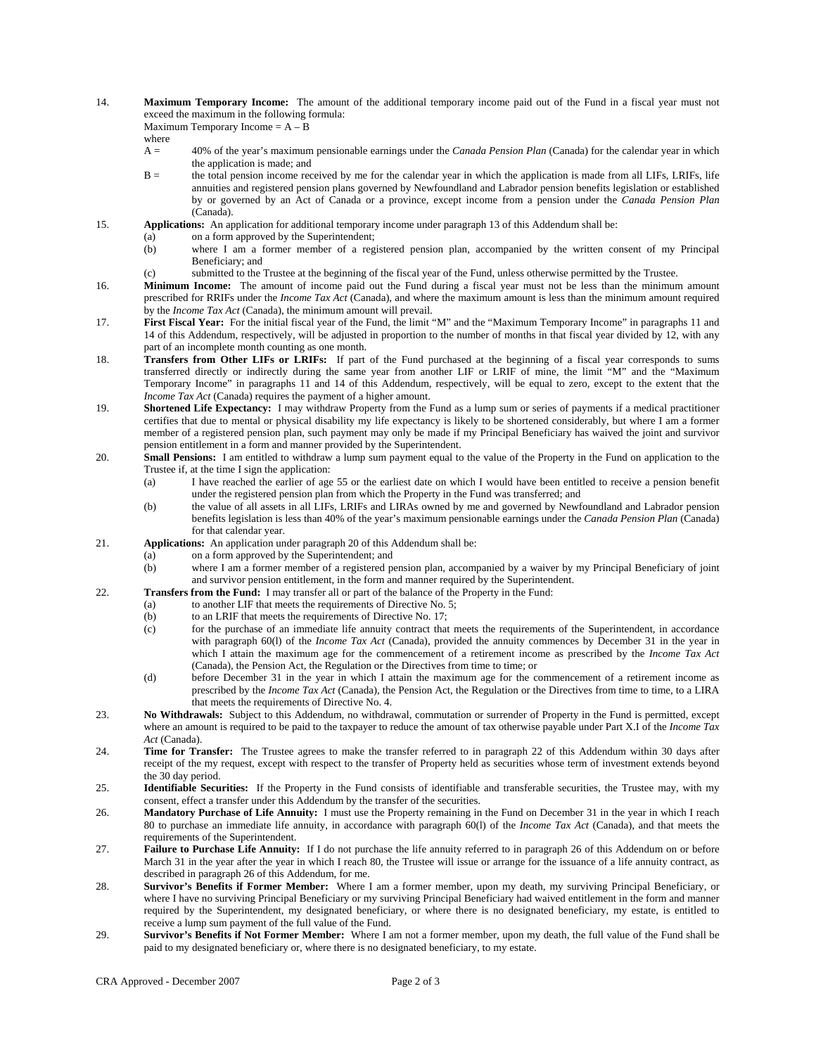14. **Maximum Temporary Income:** The amount of the additional temporary income paid out of the Fund in a fiscal year must not exceed the maximum in the following formula:

Maximum Temporary Income  $= A - B$ 

where

- A = 40% of the year's maximum pensionable earnings under the *Canada Pension Plan* (Canada) for the calendar year in which the application is made; and
- B = the total pension income received by me for the calendar year in which the application is made from all LIFs, LRIFs, life annuities and registered pension plans governed by Newfoundland and Labrador pension benefits legislation or established by or governed by an Act of Canada or a province, except income from a pension under the *Canada Pension Plan* (Canada).
- 15. **Applications:** An application for additional temporary income under paragraph 13 of this Addendum shall be:
	- (a) on a form approved by the Superintendent;
	- (b) where I am a former member of a registered pension plan, accompanied by the written consent of my Principal Beneficiary; and
	- (c) submitted to the Trustee at the beginning of the fiscal year of the Fund, unless otherwise permitted by the Trustee.
- 16. **Minimum Income:** The amount of income paid out the Fund during a fiscal year must not be less than the minimum amount prescribed for RRIFs under the *Income Tax Act* (Canada), and where the maximum amount is less than the minimum amount required by the *Income Tax Act* (Canada), the minimum amount will prevail.
- 17. **First Fiscal Year:** For the initial fiscal year of the Fund, the limit "M" and the "Maximum Temporary Income" in paragraphs 11 and 14 of this Addendum, respectively, will be adjusted in proportion to the number of months in that fiscal year divided by 12, with any part of an incomplete month counting as one month.
- 18. **Transfers from Other LIFs or LRIFs:** If part of the Fund purchased at the beginning of a fiscal year corresponds to sums transferred directly or indirectly during the same year from another LIF or LRIF of mine, the limit "M" and the "Maximum Temporary Income" in paragraphs 11 and 14 of this Addendum, respectively, will be equal to zero, except to the extent that the *Income Tax Act* (Canada) requires the payment of a higher amount.
- 19. **Shortened Life Expectancy:** I may withdraw Property from the Fund as a lump sum or series of payments if a medical practitioner certifies that due to mental or physical disability my life expectancy is likely to be shortened considerably, but where I am a former member of a registered pension plan, such payment may only be made if my Principal Beneficiary has waived the joint and survivor pension entitlement in a form and manner provided by the Superintendent.
- 20. **Small Pensions:** I am entitled to withdraw a lump sum payment equal to the value of the Property in the Fund on application to the Trustee if, at the time I sign the application:
	- (a) I have reached the earlier of age 55 or the earliest date on which I would have been entitled to receive a pension benefit under the registered pension plan from which the Property in the Fund was transferred; and
	- (b) the value of all assets in all LIFs, LRIFs and LIRAs owned by me and governed by Newfoundland and Labrador pension benefits legislation is less than 40% of the year's maximum pensionable earnings under the *Canada Pension Plan* (Canada) for that calendar year.
- 21. **Applications:** An application under paragraph 20 of this Addendum shall be:
	- (a) on a form approved by the Superintendent; and
	- (b) where I am a former member of a registered pension plan, accompanied by a waiver by my Principal Beneficiary of joint and survivor pension entitlement, in the form and manner required by the Superintendent.
- 22. **Transfers from the Fund:** I may transfer all or part of the balance of the Property in the Fund:
	- (a) to another LIF that meets the requirements of Directive No. 5;
		- (b) to an LRIF that meets the requirements of Directive No. 17;
		- (c) for the purchase of an immediate life annuity contract that meets the requirements of the Superintendent, in accordance with paragraph 60(l) of the *Income Tax Act* (Canada), provided the annuity commences by December 31 in the year in which I attain the maximum age for the commencement of a retirement income as prescribed by the *Income Tax Act* (Canada), the Pension Act, the Regulation or the Directives from time to time; or
		- (d) before December 31 in the year in which I attain the maximum age for the commencement of a retirement income as prescribed by the *Income Tax Act* (Canada), the Pension Act, the Regulation or the Directives from time to time, to a LIRA that meets the requirements of Directive No. 4.
- 23. **No Withdrawals:** Subject to this Addendum, no withdrawal, commutation or surrender of Property in the Fund is permitted, except where an amount is required to be paid to the taxpayer to reduce the amount of tax otherwise payable under Part X.I of the *Income Tax Act* (Canada).
- 24. **Time for Transfer:** The Trustee agrees to make the transfer referred to in paragraph 22 of this Addendum within 30 days after receipt of the my request, except with respect to the transfer of Property held as securities whose term of investment extends beyond the 30 day period.
- 25. **Identifiable Securities:** If the Property in the Fund consists of identifiable and transferable securities, the Trustee may, with my consent, effect a transfer under this Addendum by the transfer of the securities.
- 26. **Mandatory Purchase of Life Annuity:** I must use the Property remaining in the Fund on December 31 in the year in which I reach 80 to purchase an immediate life annuity, in accordance with paragraph 60(l) of the *Income Tax Act* (Canada), and that meets the requirements of the Superintendent.
- 27. **Failure to Purchase Life Annuity:** If I do not purchase the life annuity referred to in paragraph 26 of this Addendum on or before March 31 in the year after the year in which I reach 80, the Trustee will issue or arrange for the issuance of a life annuity contract, as described in paragraph 26 of this Addendum, for me.
- 28. **Survivor's Benefits if Former Member:** Where I am a former member, upon my death, my surviving Principal Beneficiary, or where I have no surviving Principal Beneficiary or my surviving Principal Beneficiary had waived entitlement in the form and manner required by the Superintendent, my designated beneficiary, or where there is no designated beneficiary, my estate, is entitled to receive a lump sum payment of the full value of the Fund.
- 29. **Survivor's Benefits if Not Former Member:** Where I am not a former member, upon my death, the full value of the Fund shall be paid to my designated beneficiary or, where there is no designated beneficiary, to my estate.